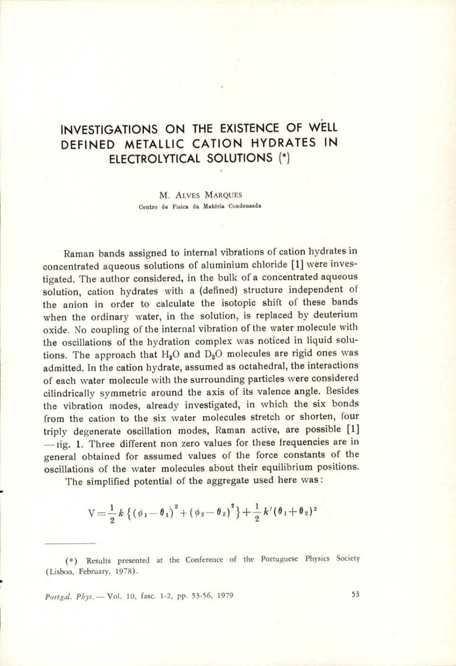## INVESTIGATIONS ON THE EXISTENCE OF WELL DEFINED METALLIC CATION HYDRATES IN ELECTROLYTICAL SOLUTIONS (\*)

M. ALVES MARQUES Centro de Fisica da Matéria Condensada

Raman bands assigned to internal vibrations of cation hydrates in concentrated aqueous solutions of aluminium chloride [1] were investigated. The author considered, in the bulk of a concentrated aqueous solution, cation hydrates with a (defined) structure independent of the anion in order to calculate the isotopic shift of these bands when the ordinary water, in the solution, is replaced by deuterium oxide. No coupling of the internal vibration of the water molecule with the oscillations of the hydration complex was noticed in liquid solutions. The approach that  $H_2O$  and  $D_2O$  molecules are rigid ones was admitted. In the cation hydrate, assumed as octahedral, the interactions of each water molecule with the surrounding particles were considered cilindrically symmetric around the axis of its valence angle. Besides the vibration modes, already investigated, in which the six bonds from the cation to the six water molecules stretch or shorten, four triply degenerate oscillation modes, Raman active, are possible [1] —1tig. 1. Three different non zero values for these frequencies are in general obtained for assumed values of the force constants of the oscillations of the water molecules about their equilibrium positions.

The simplified potential of the aggregate used here was:

$$
V = \frac{1}{2} k \left\{ \left( \phi_1 - \theta_1 \right)^2 + \left( \phi_2 - \theta_2 \right)^2 \right\} + \frac{1}{2} k' (\theta_1 + \theta_2)^2
$$

(\*) Results presented at the Conference of the Portuguese Physics Society (Lisbon, February, 1978).

Portgal. Phys. - Vol. 10, fasc. 1-2, pp. 53-56, 1979 53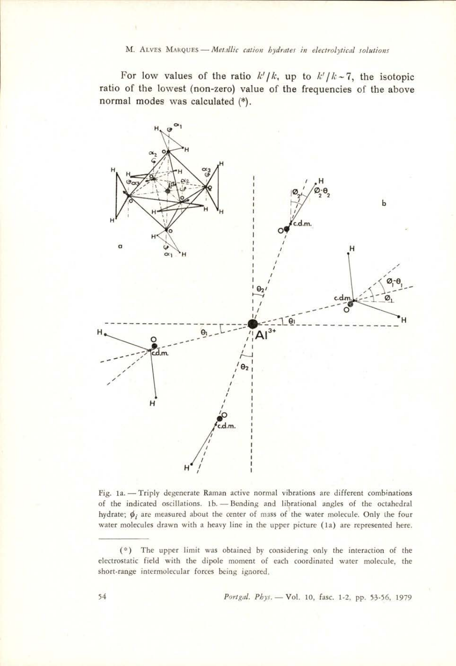M. ALVES MARQUES - Metallic cation hydrates in electrolytical solutions

For low values of the ratio  $k'/k$ , up to  $k'/k$  -7, the isotopic ratio of the lowest (non-zero) value of the frequencies of the above normal modes was calculated (\*).



Fig. 1a. — Triply degenerate Raman active normal vibrations are different combinations of the indicated oscillations. 1b.— Bending and librational angles of the octahedral hydrate;  $\phi_i$  are measured about the center of mass of the water molecule. Only the four water molecules drawn with a heavy line in the upper picture (1a) are represented here.

<sup>(\*)</sup> The upper limit was obtained by considering only the interaction of the electrostatic field with the dipole moment of each coordinated water molecule, the short-range intermolecular forces being ignored.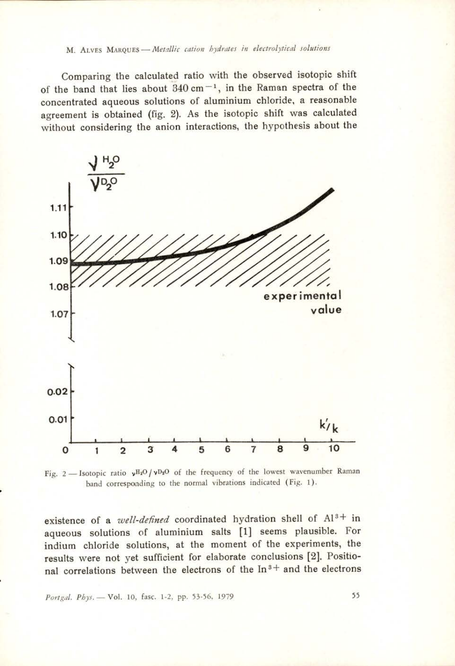## M. ALvEs Marques — Metallic cation hydrates in electrolytical solutions

Comparing the calculated ratio with the observed isotopic shift of the band that lies about  $340 \text{ cm}^{-1}$ , in the Raman spectra of the concentrated aqueous solutions of aluminium chloride, a reasonable agreement is obtained (fig. 2). As the isotopic shift was calculated without considering the anion interactions, the hypothesis about the omparing the<br>band that lies<br>trated aqueou<br>nent is obtaine<br>at considering<br> $\sqrt{\frac{H_2O}{V_2O}}$ 



Fig. 2 - Isotopic ratio  $vH_2O/vD_2O$  of the frequency of the lowest wavenumber Raman band corresponding to the normal vibrations indicated (Fig. 1).

1 2 3 4<br>
— Isotopic ratio  $v^{H_2O}/v^{D_2O}$  of<br>
band corresponding to the<br>
mce of a *well-defined* co<br>
pus solutions of alumi<br>
m chloride solutions, a<br>
s were not yet sufficien<br>
orrelations between the<br>
l. Phys. — Vol. 10, existence of a *well-defined* coordinated hydration shell of Al<sup>3+</sup> in aqueous solutions of aluminium salts [1] seems plausible. For indium chloride solutions, at the moment of the experiments, the results were not yet sufficient for elaborate conclusions [2]. Positional correlations between the electrons of the  $In<sup>3+</sup>$  and the electrons

Portgal. Phys. - Vol. 10, fasc. 1-2, pp. 53-56, 1979 55